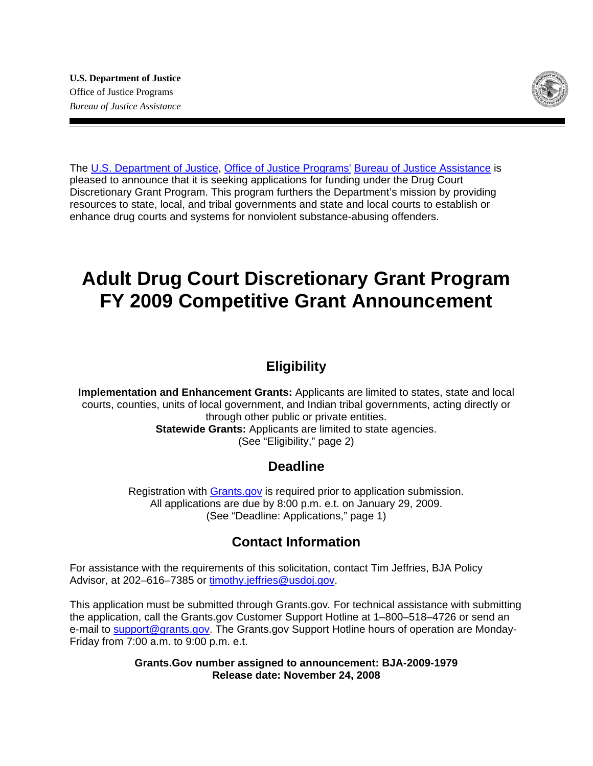

The [U.S. Department of Justice,](http://www.usdoj.gov/) [Office of Justice Programs'](http://www.ojp.usdoj.gov/) [Bureau of Justice Assistance](http://www.ojp.usdoj.gov/BJA/) is pleased to announce that it is seeking applications for funding under the Drug Court Discretionary Grant Program. This program furthers the Department's mission by providing resources to state, local, and tribal governments and state and local courts to establish or enhance drug courts and systems for nonviolent substance-abusing offenders.

# **Adult Drug Court Discretionary Grant Program FY 2009 Competitive Grant Announcement**

## **Eligibility**

**Implementation and Enhancement Grants:** Applicants are limited to states, state and local courts, counties, units of local government, and Indian tribal governments, acting directly or through other public or private entities. **Statewide Grants:** Applicants are limited to state agencies. (See "Eligibility," page 2)

## **Deadline**

Registration with [Grants.gov](http://www.grants.gov/applicants/apply_for_grants.jsp) is required prior to application submission. All applications are due by 8:00 p.m. e.t. on January 29, 2009. (See "Deadline: Applications," page 1)

## **Contact Information**

For assistance with the requirements of this solicitation, contact Tim Jeffries, BJA Policy Advisor, at 202–616–7385 or [timothy.jeffries@usdoj.gov.](mailto:timothy.jeffries@usdoj.gov)

This application must be submitted through Grants.gov*.* For technical assistance with submitting the application, call the Grants.gov Customer Support Hotline at 1–800–518–4726 or send an e-mail to [support@grants.gov.](mailto:support@grants.gov) The Grants.gov Support Hotline hours of operation are Monday-Friday from 7:00 a.m. to 9:00 p.m. e.t.

> **Grants.Gov number assigned to announcement: BJA-2009-1979 Release date: November 24, 2008**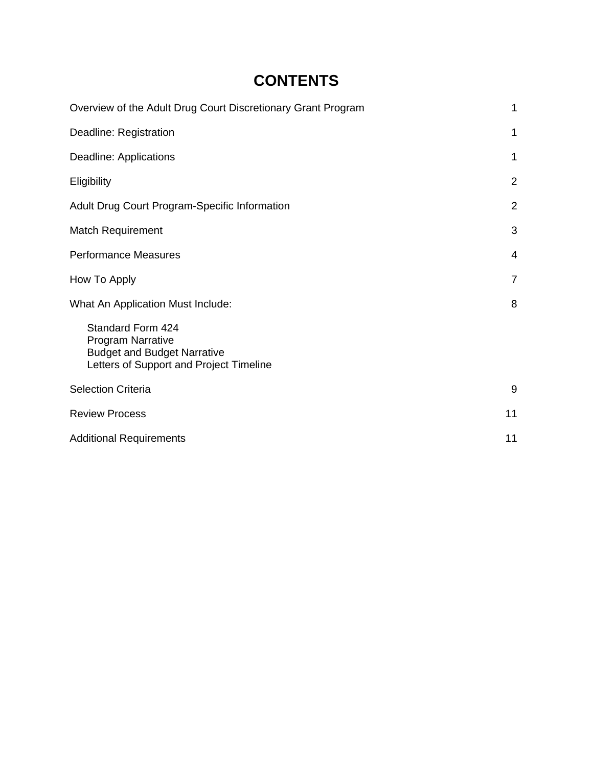# **CONTENTS**

| Overview of the Adult Drug Court Discretionary Grant Program                                                                          | 1              |
|---------------------------------------------------------------------------------------------------------------------------------------|----------------|
| Deadline: Registration                                                                                                                | $\mathbf{1}$   |
| Deadline: Applications                                                                                                                | 1              |
| Eligibility                                                                                                                           | $\overline{2}$ |
| <b>Adult Drug Court Program-Specific Information</b>                                                                                  | $\overline{2}$ |
| <b>Match Requirement</b>                                                                                                              | 3              |
| <b>Performance Measures</b>                                                                                                           | 4              |
| How To Apply                                                                                                                          | 7              |
| What An Application Must Include:                                                                                                     | 8              |
| <b>Standard Form 424</b><br><b>Program Narrative</b><br><b>Budget and Budget Narrative</b><br>Letters of Support and Project Timeline |                |
| <b>Selection Criteria</b>                                                                                                             | 9              |
| <b>Review Process</b>                                                                                                                 | 11             |
| <b>Additional Requirements</b>                                                                                                        | 11             |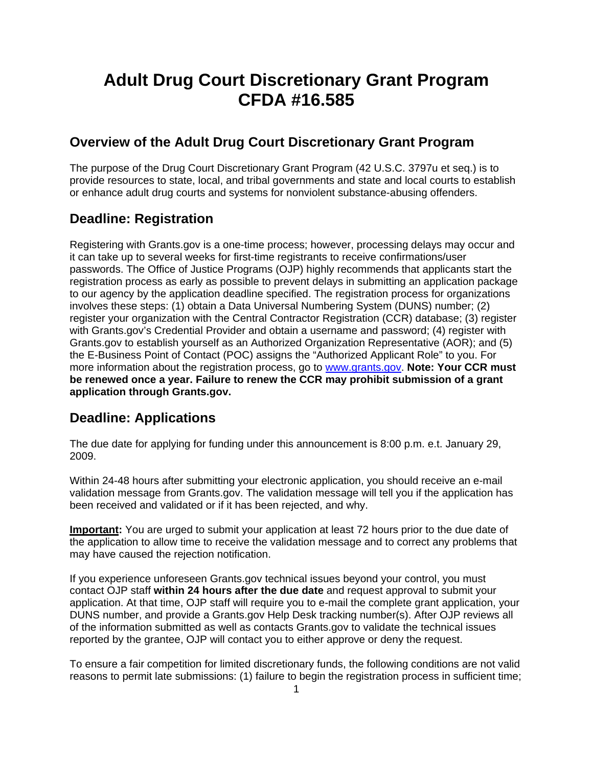# **Adult Drug Court Discretionary Grant Program CFDA #16.585**

### **Overview of the Adult Drug Court Discretionary Grant Program**

The purpose of the Drug Court Discretionary Grant Program (42 U.S.C. 3797u et seq.) is to provide resources to state, local, and tribal governments and state and local courts to establish or enhance adult drug courts and systems for nonviolent substance-abusing offenders.

### **Deadline: Registration**

Registering with Grants.gov is a one-time process; however, processing delays may occur and it can take up to several weeks for first-time registrants to receive confirmations/user passwords. The Office of Justice Programs (OJP) highly recommends that applicants start the registration process as early as possible to prevent delays in submitting an application package to our agency by the application deadline specified. The registration process for organizations involves these steps: (1) obtain a Data Universal Numbering System (DUNS) number; (2) register your organization with the Central Contractor Registration (CCR) database; (3) register with Grants.gov's Credential Provider and obtain a username and password; (4) register with Grants.gov to establish yourself as an Authorized Organization Representative (AOR); and (5) the E-Business Point of Contact (POC) assigns the "Authorized Applicant Role" to you. For more information about the registration process, go to [www.grants.gov](http://www.grants.gov/). **Note: Your CCR must be renewed once a year. Failure to renew the CCR may prohibit submission of a grant application through Grants.gov.**

### **Deadline: Applications**

The due date for applying for funding under this announcement is 8:00 p.m. e.t. January 29, 2009.

Within 24-48 hours after submitting your electronic application, you should receive an e-mail validation message from Grants.gov. The validation message will tell you if the application has been received and validated or if it has been rejected, and why.

**Important:** You are urged to submit your application at least 72 hours prior to the due date of the application to allow time to receive the validation message and to correct any problems that may have caused the rejection notification.

If you experience unforeseen Grants.gov technical issues beyond your control, you must contact OJP staff **within 24 hours after the due date** and request approval to submit your application. At that time, OJP staff will require you to e-mail the complete grant application, your DUNS number, and provide a Grants.gov Help Desk tracking number(s). After OJP reviews all of the information submitted as well as contacts Grants.gov to validate the technical issues reported by the grantee, OJP will contact you to either approve or deny the request.

To ensure a fair competition for limited discretionary funds, the following conditions are not valid reasons to permit late submissions: (1) failure to begin the registration process in sufficient time;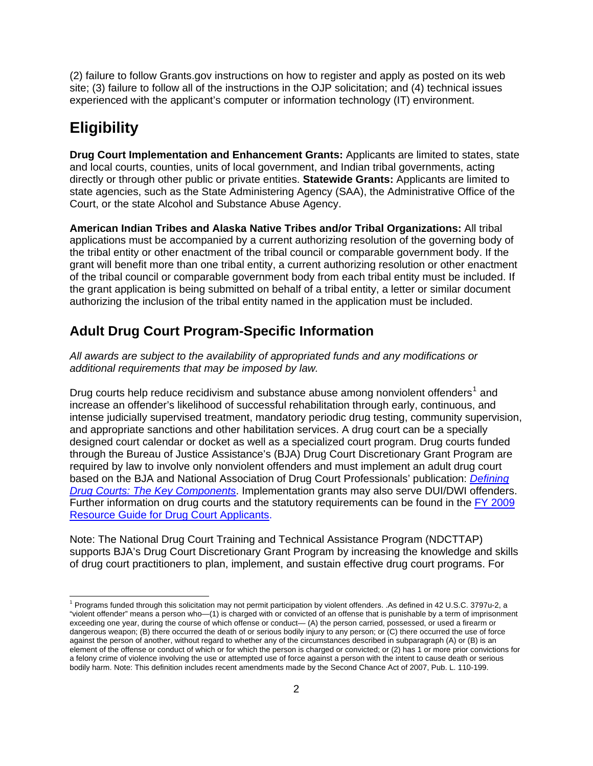(2) failure to follow Grants.gov instructions on how to register and apply as posted on its web site; (3) failure to follow all of the instructions in the OJP solicitation; and (4) technical issues experienced with the applicant's computer or information technology (IT) environment.

# **Eligibility**

 $\overline{a}$ 

**Drug Court Implementation and Enhancement Grants:** Applicants are limited to states, state and local courts, counties, units of local government, and Indian tribal governments, acting directly or through other public or private entities. **Statewide Grants:** Applicants are limited to state agencies, such as the State Administering Agency (SAA), the Administrative Office of the Court, or the state Alcohol and Substance Abuse Agency.

**American Indian Tribes and Alaska Native Tribes and/or Tribal Organizations:** All tribal applications must be accompanied by a current authorizing resolution of the governing body of the tribal entity or other enactment of the tribal council or comparable government body. If the grant will benefit more than one tribal entity, a current authorizing resolution or other enactment of the tribal council or comparable government body from each tribal entity must be included. If the grant application is being submitted on behalf of a tribal entity, a letter or similar document authorizing the inclusion of the tribal entity named in the application must be included.

### **Adult Drug Court Program-Specific Information**

*All awards are subject to the availability of appropriated funds and any modifications or additional requirements that may be imposed by law.* 

Drug courts help reduce recidivism and substance abuse among nonviolent offenders<sup>[1](#page-3-0)</sup> and increase an offender's likelihood of successful rehabilitation through early, continuous, and intense judicially supervised treatment, mandatory periodic drug testing, community supervision, and appropriate sanctions and other habilitation services. A drug court can be a specially designed court calendar or docket as well as a specialized court program. Drug courts funded through the Bureau of Justice Assistance's (BJA) Drug Court Discretionary Grant Program are required by law to involve only nonviolent offenders and must implement an adult drug court based on the BJA and National Association of Drug Court Professionals' publication: *[Defining](http://www.ojp.usdoj.gov/BJA/grant/DrugCourts/DefiningDC.pdf)  [Drug Courts: The Key Components](http://www.ojp.usdoj.gov/BJA/grant/DrugCourts/DefiningDC.pdf)*. Implementation grants may also serve DUI/DWI offenders. Further information on drug courts and the statutory requirements can be found in the [FY 2009](http://www.ojp.usdoj.gov/BJA/grant/09DCResource.pdf)  [Resource Guide for Drug Court Applicants](http://www.ojp.usdoj.gov/BJA/grant/09DCResource.pdf).

Note: The National Drug Court Training and Technical Assistance Program (NDCTTAP) supports BJA's Drug Court Discretionary Grant Program by increasing the knowledge and skills of drug court practitioners to plan, implement, and sustain effective drug court programs. For

<span id="page-3-0"></span><sup>&</sup>lt;sup>1</sup> Programs funded through this solicitation may not permit participation by violent offenders. .As defined in 42 U.S.C. 3797u-2, a "violent offender" means a person who—(1) is charged with or convicted of an offense that is punishable by a term of imprisonment exceeding one year, during the course of which offense or conduct— (A) the person carried, possessed, or used a firearm or dangerous weapon; (B) there occurred the death of or serious bodily injury to any person; or (C) there occurred the use of force against the person of another, without regard to whether any of the circumstances described in subparagraph (A) or (B) is an element of the offense or conduct of which or for which the person is charged or convicted; or (2) has 1 or more prior convictions for a felony crime of violence involving the use or attempted use of force against a person with the intent to cause death or serious bodily harm. Note: This definition includes recent amendments made by the Second Chance Act of 2007, Pub. L. 110-199.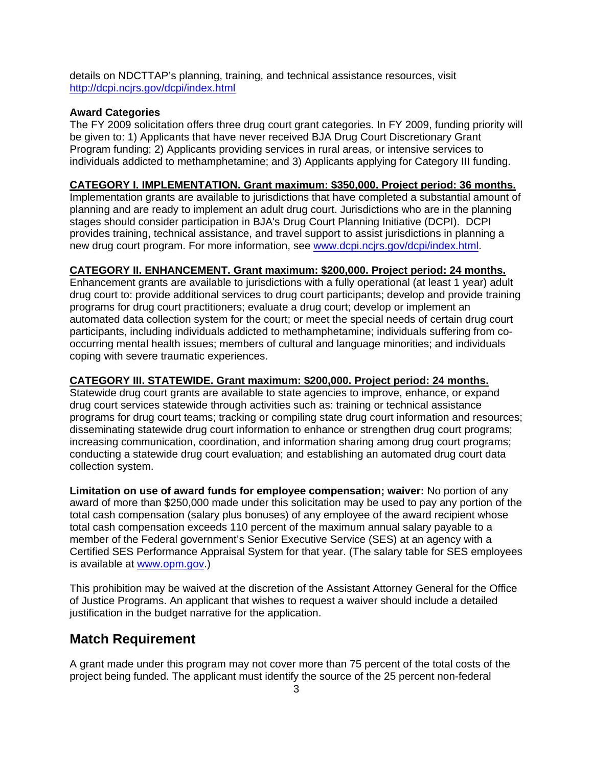details on NDCTTAP's planning, training, and technical assistance resources, visit <http://dcpi.ncjrs.gov/dcpi/index.html>

#### **Award Categories**

The FY 2009 solicitation offers three drug court grant categories. In FY 2009, funding priority will be given to: 1) Applicants that have never received BJA Drug Court Discretionary Grant Program funding; 2) Applicants providing services in rural areas, or intensive services to individuals addicted to methamphetamine; and 3) Applicants applying for Category III funding.

#### **CATEGORY I. IMPLEMENTATION. Grant maximum: \$350,000. Project period: 36 months.**

Implementation grants are available to jurisdictions that have completed a substantial amount of planning and are ready to implement an adult drug court. Jurisdictions who are in the planning stages should consider participation in BJA's Drug Court Planning Initiative (DCPI). DCPI provides training, technical assistance, and travel support to assist jurisdictions in planning a new drug court program. For more information, see [www.dcpi.ncjrs.gov/dcpi/index.html](http://dcpi.ncjrs.gov/dcpi/index.html).

#### **CATEGORY II. ENHANCEMENT. Grant maximum: \$200,000. Project period: 24 months.**

Enhancement grants are available to jurisdictions with a fully operational (at least 1 year) adult drug court to: provide additional services to drug court participants; develop and provide training programs for drug court practitioners; evaluate a drug court; develop or implement an automated data collection system for the court; or meet the special needs of certain drug court participants, including individuals addicted to methamphetamine; individuals suffering from cooccurring mental health issues; members of cultural and language minorities; and individuals coping with severe traumatic experiences.

#### **CATEGORY III. STATEWIDE. Grant maximum: \$200,000. Project period: 24 months.**

Statewide drug court grants are available to state agencies to improve, enhance, or expand drug court services statewide through activities such as: training or technical assistance programs for drug court teams; tracking or compiling state drug court information and resources; disseminating statewide drug court information to enhance or strengthen drug court programs; increasing communication, coordination, and information sharing among drug court programs; conducting a statewide drug court evaluation; and establishing an automated drug court data collection system.

**Limitation on use of award funds for employee compensation; waiver:** No portion of any award of more than \$250,000 made under this solicitation may be used to pay any portion of the total cash compensation (salary plus bonuses) of any employee of the award recipient whose total cash compensation exceeds 110 percent of the maximum annual salary payable to a member of the Federal government's Senior Executive Service (SES) at an agency with a Certified SES Performance Appraisal System for that year. (The salary table for SES employees is available at [www.opm.gov.](http://www.opm.gov/))

This prohibition may be waived at the discretion of the Assistant Attorney General for the Office of Justice Programs. An applicant that wishes to request a waiver should include a detailed justification in the budget narrative for the application.

### **Match Requirement**

A grant made under this program may not cover more than 75 percent of the total costs of the project being funded. The applicant must identify the source of the 25 percent non-federal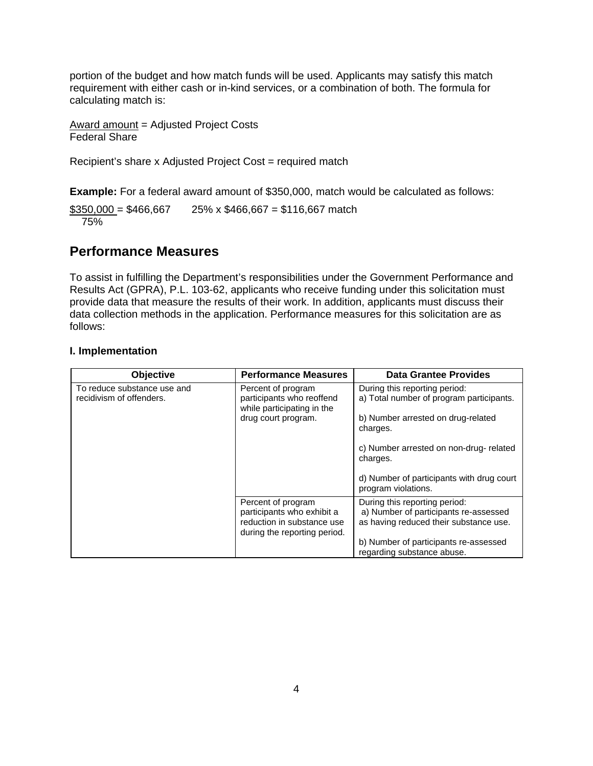portion of the budget and how match funds will be used. Applicants may satisfy this match requirement with either cash or in-kind services, or a combination of both. The formula for calculating match is:

Award amount = Adjusted Project Costs Federal Share

Recipient's share x Adjusted Project Cost = required match

**Example:** For a federal award amount of \$350,000, match would be calculated as follows:

 $$350,000 = $466,667$  25% x \$466,667 = \$116,667 match 75%

### **Performance Measures**

To assist in fulfilling the Department's responsibilities under the Government Performance and Results Act (GPRA), P.L. 103-62, applicants who receive funding under this solicitation must provide data that measure the results of their work. In addition, applicants must discuss their data collection methods in the application. Performance measures for this solicitation are as follows:

#### **I. Implementation**

| Objective                                               | <b>Performance Measures</b>                                                                                    | <b>Data Grantee Provides</b>                                                                                     |
|---------------------------------------------------------|----------------------------------------------------------------------------------------------------------------|------------------------------------------------------------------------------------------------------------------|
| To reduce substance use and<br>recidivism of offenders. | Percent of program<br>participants who reoffend<br>while participating in the                                  | During this reporting period:<br>a) Total number of program participants.                                        |
|                                                         | drug court program.                                                                                            | b) Number arrested on drug-related<br>charges.                                                                   |
|                                                         |                                                                                                                | c) Number arrested on non-drug-related<br>charges.                                                               |
|                                                         |                                                                                                                | d) Number of participants with drug court<br>program violations.                                                 |
|                                                         | Percent of program<br>participants who exhibit a<br>reduction in substance use<br>during the reporting period. | During this reporting period:<br>a) Number of participants re-assessed<br>as having reduced their substance use. |
|                                                         |                                                                                                                | b) Number of participants re-assessed<br>regarding substance abuse.                                              |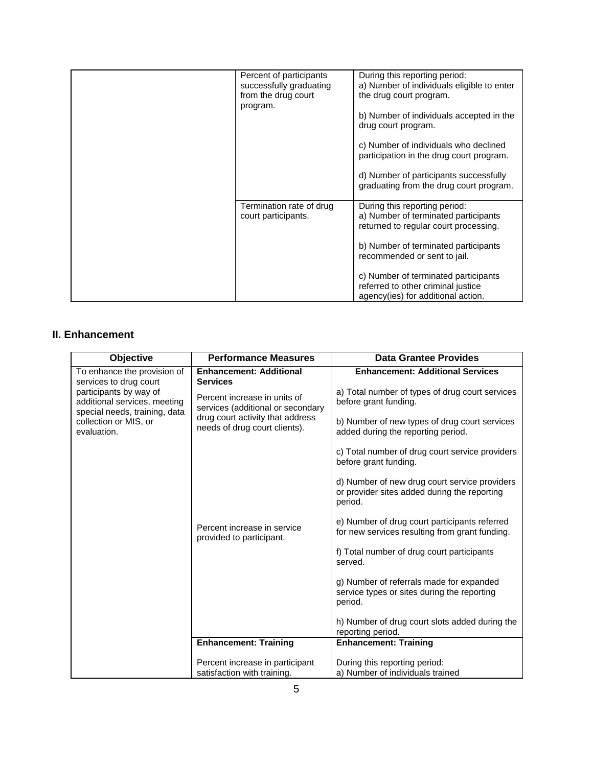| Percent of participants<br>successfully graduating<br>from the drug court<br>program. | During this reporting period:<br>a) Number of individuals eligible to enter<br>the drug court program.<br>b) Number of individuals accepted in the<br>drug court program.<br>c) Number of individuals who declined<br>participation in the drug court program.<br>d) Number of participants successfully<br>graduating from the drug court program. |
|---------------------------------------------------------------------------------------|-----------------------------------------------------------------------------------------------------------------------------------------------------------------------------------------------------------------------------------------------------------------------------------------------------------------------------------------------------|
| Termination rate of drug<br>court participants.                                       | During this reporting period:<br>a) Number of terminated participants<br>returned to regular court processing.<br>b) Number of terminated participants<br>recommended or sent to jail.<br>c) Number of terminated participants<br>referred to other criminal justice<br>agency(ies) for additional action.                                          |

### **II. Enhancement**

| Objective                                              | <b>Performance Measures</b>                                                                                                                                                                       | <b>Data Grantee Provides</b>                                                                             |
|--------------------------------------------------------|---------------------------------------------------------------------------------------------------------------------------------------------------------------------------------------------------|----------------------------------------------------------------------------------------------------------|
| To enhance the provision of                            | <b>Enhancement: Additional</b><br><b>Services</b>                                                                                                                                                 | <b>Enhancement: Additional Services</b>                                                                  |
| participants by way of<br>additional services, meeting | services to drug court<br>Percent increase in units of<br>services (additional or secondary<br>special needs, training, data<br>drug court activity that address<br>needs of drug court clients). | a) Total number of types of drug court services<br>before grant funding.                                 |
| collection or MIS, or<br>evaluation.                   |                                                                                                                                                                                                   | b) Number of new types of drug court services<br>added during the reporting period.                      |
|                                                        |                                                                                                                                                                                                   | c) Total number of drug court service providers<br>before grant funding.                                 |
|                                                        |                                                                                                                                                                                                   | d) Number of new drug court service providers<br>or provider sites added during the reporting<br>period. |
|                                                        | Percent increase in service<br>provided to participant.                                                                                                                                           | e) Number of drug court participants referred<br>for new services resulting from grant funding.          |
|                                                        |                                                                                                                                                                                                   | f) Total number of drug court participants<br>served.                                                    |
|                                                        |                                                                                                                                                                                                   | g) Number of referrals made for expanded<br>service types or sites during the reporting<br>period.       |
|                                                        |                                                                                                                                                                                                   | h) Number of drug court slots added during the<br>reporting period.                                      |
|                                                        | <b>Enhancement: Training</b>                                                                                                                                                                      | <b>Enhancement: Training</b>                                                                             |
|                                                        | Percent increase in participant<br>satisfaction with training.                                                                                                                                    | During this reporting period:<br>a) Number of individuals trained                                        |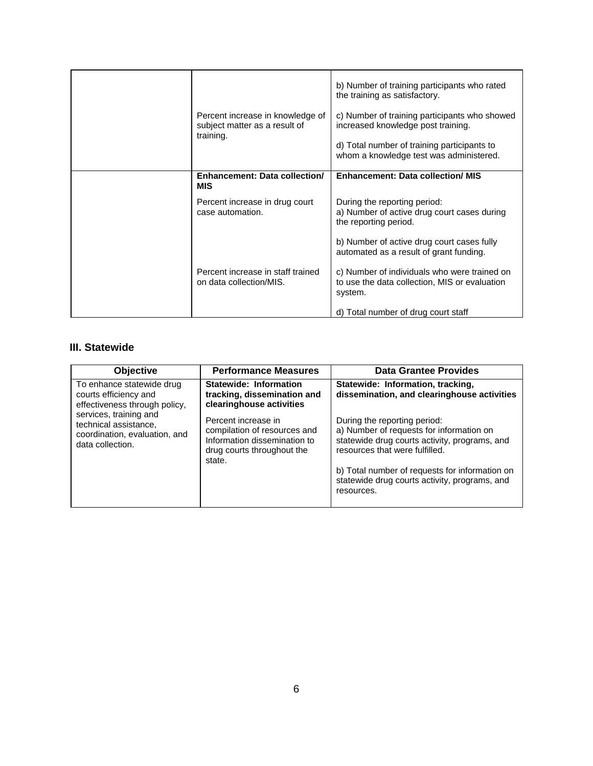| Percent increase in knowledge of<br>subject matter as a result of<br>training. | b) Number of training participants who rated<br>the training as satisfactory.<br>c) Number of training participants who showed<br>increased knowledge post training.<br>d) Total number of training participants to<br>whom a knowledge test was administered. |
|--------------------------------------------------------------------------------|----------------------------------------------------------------------------------------------------------------------------------------------------------------------------------------------------------------------------------------------------------------|
| Enhancement: Data collection/<br><b>MIS</b>                                    | <b>Enhancement: Data collection/ MIS</b>                                                                                                                                                                                                                       |
| Percent increase in drug court<br>case automation.                             | During the reporting period:<br>a) Number of active drug court cases during<br>the reporting period.                                                                                                                                                           |
|                                                                                | b) Number of active drug court cases fully<br>automated as a result of grant funding.                                                                                                                                                                          |
| Percent increase in staff trained<br>on data collection/MIS.                   | c) Number of individuals who were trained on<br>to use the data collection, MIS or evaluation<br>system.                                                                                                                                                       |
|                                                                                | d) Total number of drug court staff                                                                                                                                                                                                                            |

#### **III. Statewide**

| <b>Objective</b>                                                                                     | <b>Performance Measures</b>                                                                                                 | <b>Data Grantee Provides</b>                                                                                                                                |
|------------------------------------------------------------------------------------------------------|-----------------------------------------------------------------------------------------------------------------------------|-------------------------------------------------------------------------------------------------------------------------------------------------------------|
| To enhance statewide drug<br>courts efficiency and<br>effectiveness through policy,                  | Statewide: Information<br>tracking, dissemination and<br>clearinghouse activities                                           | Statewide: Information, tracking,<br>dissemination, and clearinghouse activities                                                                            |
| services, training and<br>technical assistance,<br>coordination, evaluation, and<br>data collection. | Percent increase in<br>compilation of resources and<br>Information dissemination to<br>drug courts throughout the<br>state. | During the reporting period:<br>a) Number of requests for information on<br>statewide drug courts activity, programs, and<br>resources that were fulfilled. |
|                                                                                                      |                                                                                                                             | b) Total number of requests for information on<br>statewide drug courts activity, programs, and<br>resources.                                               |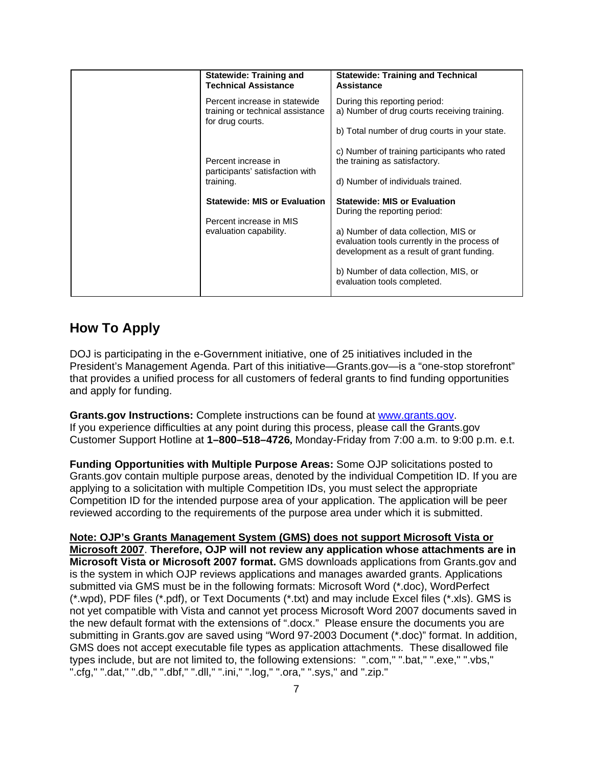|                        | <b>Statewide: Training and</b><br><b>Technical Assistance</b>                                                                     | <b>Statewide: Training and Technical</b><br><b>Assistance</b>                 |
|------------------------|-----------------------------------------------------------------------------------------------------------------------------------|-------------------------------------------------------------------------------|
|                        | Percent increase in statewide<br>training or technical assistance                                                                 | During this reporting period:<br>a) Number of drug courts receiving training. |
|                        | for drug courts.                                                                                                                  | b) Total number of drug courts in your state.                                 |
|                        | Percent increase in                                                                                                               | c) Number of training participants who rated<br>the training as satisfactory. |
|                        | participants' satisfaction with<br>training.                                                                                      | d) Number of individuals trained.                                             |
|                        | <b>Statewide: MIS or Evaluation</b><br>Percent increase in MIS                                                                    | <b>Statewide: MIS or Evaluation</b><br>During the reporting period:           |
| evaluation capability. | a) Number of data collection, MIS or<br>evaluation tools currently in the process of<br>development as a result of grant funding. |                                                                               |
|                        |                                                                                                                                   | b) Number of data collection, MIS, or<br>evaluation tools completed.          |

### **How To Apply**

DOJ is participating in the e-Government initiative, one of 25 initiatives included in the President's Management Agenda. Part of this initiative—Grants.gov—is a "one-stop storefront" that provides a unified process for all customers of federal grants to find funding opportunities and apply for funding.

**Grants.gov Instructions:** Complete instructions can be found at [www.grants.gov.](http://www.grants.gov/) If you experience difficulties at any point during this process, please call the Grants.gov Customer Support Hotline at **1–800–518–4726,** Monday-Friday from 7:00 a.m. to 9:00 p.m. e.t.

**Funding Opportunities with Multiple Purpose Areas:** Some OJP solicitations posted to Grants.gov contain multiple purpose areas, denoted by the individual Competition ID. If you are applying to a solicitation with multiple Competition IDs, you must select the appropriate Competition ID for the intended purpose area of your application. The application will be peer reviewed according to the requirements of the purpose area under which it is submitted.

**Note: OJP's Grants Management System (GMS) does not support Microsoft Vista or Microsoft 2007**. **Therefore, OJP will not review any application whose attachments are in Microsoft Vista or Microsoft 2007 format.** GMS downloads applications from Grants.gov and is the system in which OJP reviews applications and manages awarded grants. Applications submitted via GMS must be in the following formats: Microsoft Word (\*.doc), WordPerfect (\*.wpd), PDF files (\*.pdf), or Text Documents (\*.txt) and may include Excel files (\*.xls). GMS is not yet compatible with Vista and cannot yet process Microsoft Word 2007 documents saved in the new default format with the extensions of ".docx." Please ensure the documents you are submitting in Grants.gov are saved using "Word 97-2003 Document (\*.doc)" format. In addition, GMS does not accept executable file types as application attachments. These disallowed file types include, but are not limited to, the following extensions: ".com," ".bat," ".exe," ".vbs," ".cfg," ".dat," ".db," ".dbf," ".dll," ".ini," ".log," ".ora," ".sys," and ".zip."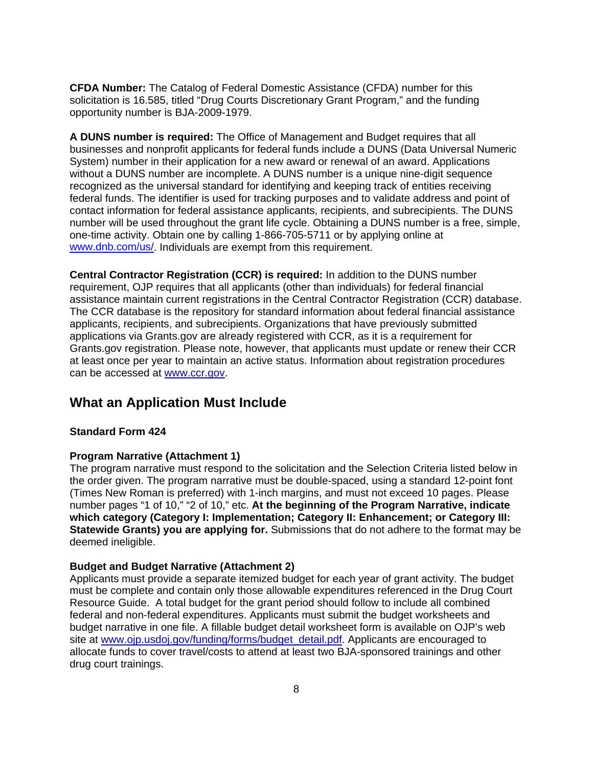**CFDA Number:** The Catalog of Federal Domestic Assistance (CFDA) number for this solicitation is 16.585, titled "Drug Courts Discretionary Grant Program," and the funding opportunity number is BJA-2009-1979.

**A DUNS number is required:** The Office of Management and Budget requires that all businesses and nonprofit applicants for federal funds include a DUNS (Data Universal Numeric System) number in their application for a new award or renewal of an award. Applications without a DUNS number are incomplete. A DUNS number is a unique nine-digit sequence recognized as the universal standard for identifying and keeping track of entities receiving federal funds. The identifier is used for tracking purposes and to validate address and point of contact information for federal assistance applicants, recipients, and subrecipients. The DUNS number will be used throughout the grant life cycle. Obtaining a DUNS number is a free, simple, one-time activity. Obtain one by calling 1-866-705-5711 or by applying online at [www.dnb.com/us/.](http://www.dnb.com/us/) Individuals are exempt from this requirement.

**Central Contractor Registration (CCR) is required:** In addition to the DUNS number requirement, OJP requires that all applicants (other than individuals) for federal financial assistance maintain current registrations in the Central Contractor Registration (CCR) database. The CCR database is the repository for standard information about federal financial assistance applicants, recipients, and subrecipients. Organizations that have previously submitted applications via Grants.gov are already registered with CCR, as it is a requirement for Grants.gov registration. Please note, however, that applicants must update or renew their CCR at least once per year to maintain an active status. Information about registration procedures can be accessed at [www.ccr.gov](http://www.ccr.gov/).

### **What an Application Must Include**

#### **Standard Form 424**

#### **Program Narrative (Attachment 1)**

The program narrative must respond to the solicitation and the Selection Criteria listed below in the order given. The program narrative must be double-spaced, using a standard 12-point font (Times New Roman is preferred) with 1-inch margins, and must not exceed 10 pages. Please number pages "1 of 10," "2 of 10," etc. **At the beginning of the Program Narrative, indicate which category (Category I: Implementation; Category II: Enhancement; or Category III: Statewide Grants) you are applying for.** Submissions that do not adhere to the format may be deemed ineligible.

#### **Budget and Budget Narrative (Attachment 2)**

Applicants must provide a separate itemized budget for each year of grant activity. The budget must be complete and contain only those allowable expenditures referenced in the Drug Court Resource Guide. A total budget for the grant period should follow to include all combined federal and non-federal expenditures. Applicants must submit the budget worksheets and budget narrative in one file. A fillable budget detail worksheet form is available on OJP's web site at [www.ojp.usdoj.gov/funding/forms/budget\\_detail.pdf](http://www.ojp.usdoj.gov/funding/forms/budget_detail.pdf). Applicants are encouraged to allocate funds to cover travel/costs to attend at least two BJA-sponsored trainings and other drug court trainings.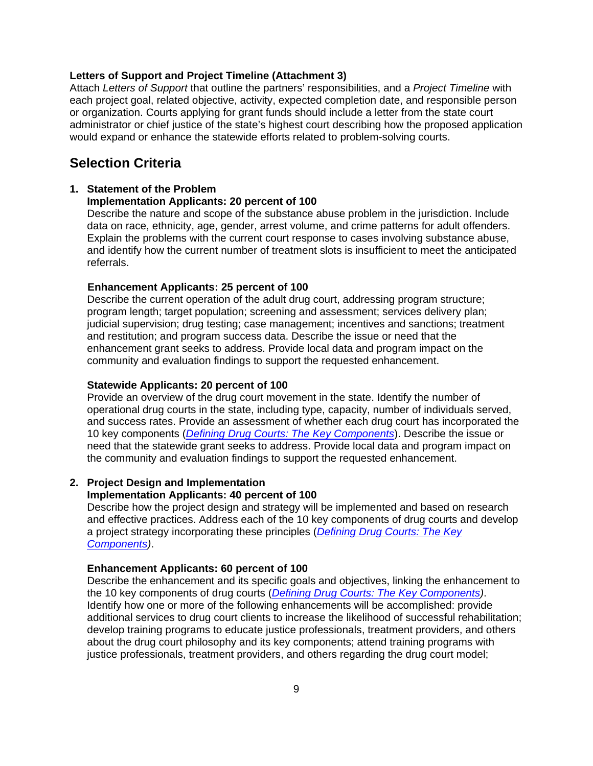#### **Letters of Support and Project Timeline (Attachment 3)**

Attach *Letters of Support* that outline the partners' responsibilities, and a *Project Timeline* with each project goal, related objective, activity, expected completion date, and responsible person or organization. Courts applying for grant funds should include a letter from the state court administrator or chief justice of the state's highest court describing how the proposed application would expand or enhance the statewide efforts related to problem-solving courts.

#### **Selection Criteria**

#### **1. Statement of the Problem**

#### **Implementation Applicants: 20 percent of 100**

Describe the nature and scope of the substance abuse problem in the jurisdiction. Include data on race, ethnicity, age, gender, arrest volume, and crime patterns for adult offenders. Explain the problems with the current court response to cases involving substance abuse, and identify how the current number of treatment slots is insufficient to meet the anticipated referrals.

#### **Enhancement Applicants: 25 percent of 100**

Describe the current operation of the adult drug court, addressing program structure; program length; target population; screening and assessment; services delivery plan; judicial supervision; drug testing; case management; incentives and sanctions; treatment and restitution; and program success data. Describe the issue or need that the enhancement grant seeks to address. Provide local data and program impact on the community and evaluation findings to support the requested enhancement.

#### **Statewide Applicants: 20 percent of 100**

Provide an overview of the drug court movement in the state. Identify the number of operational drug courts in the state, including type, capacity, number of individuals served, and success rates. Provide an assessment of whether each drug court has incorporated the 10 key components (*[Defining Drug Courts: The Key Components](http://www.ojp.usdoj.gov/BJA/grant/DrugCourts/DefiningDC.pdf)*). Describe the issue or need that the statewide grant seeks to address. Provide local data and program impact on the community and evaluation findings to support the requested enhancement.

#### **2. Project Design and Implementation**

#### **Implementation Applicants: 40 percent of 100**

Describe how the project design and strategy will be implemented and based on research and effective practices. Address each of the 10 key components of drug courts and develop a project strategy incorporating these principles (*[Defining Drug Courts: The Key](http://www.ojp.usdoj.gov/BJA/grant/DrugCourts/DefiningDC.pdf)  [Components](http://www.ojp.usdoj.gov/BJA/grant/DrugCourts/DefiningDC.pdf))*.

#### **Enhancement Applicants: 60 percent of 100**

Describe the enhancement and its specific goals and objectives, linking the enhancement to the 10 key components of drug courts (*[Defining Drug Courts: The Key Components\)](http://www.ojp.usdoj.gov/BJA/grant/DrugCourts/DefiningDC.pdf)*. Identify how one or more of the following enhancements will be accomplished: provide additional services to drug court clients to increase the likelihood of successful rehabilitation; develop training programs to educate justice professionals, treatment providers, and others about the drug court philosophy and its key components; attend training programs with justice professionals, treatment providers, and others regarding the drug court model;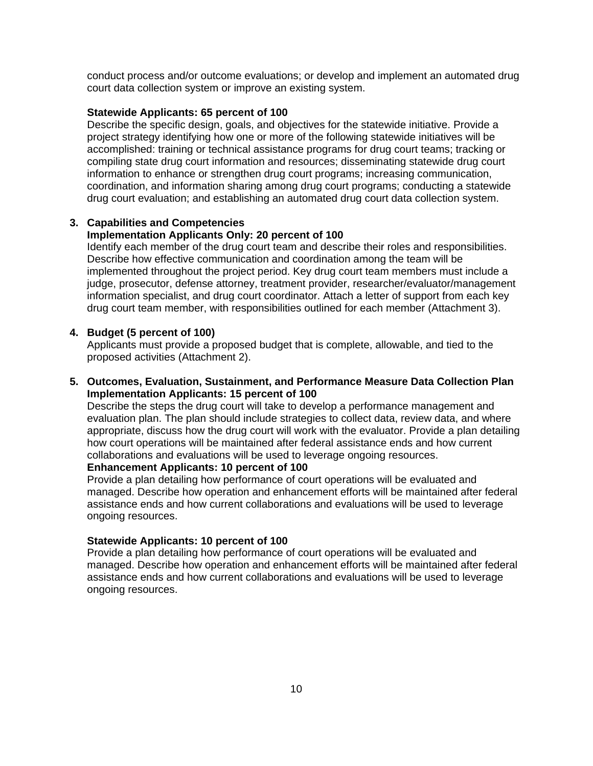conduct process and/or outcome evaluations; or develop and implement an automated drug court data collection system or improve an existing system.

#### **Statewide Applicants: 65 percent of 100**

Describe the specific design, goals, and objectives for the statewide initiative. Provide a project strategy identifying how one or more of the following statewide initiatives will be accomplished: training or technical assistance programs for drug court teams; tracking or compiling state drug court information and resources; disseminating statewide drug court information to enhance or strengthen drug court programs; increasing communication, coordination, and information sharing among drug court programs; conducting a statewide drug court evaluation; and establishing an automated drug court data collection system.

#### **3. Capabilities and Competencies**

#### **Implementation Applicants Only: 20 percent of 100**

Identify each member of the drug court team and describe their roles and responsibilities. Describe how effective communication and coordination among the team will be implemented throughout the project period. Key drug court team members must include a judge, prosecutor, defense attorney, treatment provider, researcher/evaluator/management information specialist, and drug court coordinator. Attach a letter of support from each key drug court team member, with responsibilities outlined for each member (Attachment 3).

#### **4. Budget (5 percent of 100)**

Applicants must provide a proposed budget that is complete, allowable, and tied to the proposed activities (Attachment 2).

**5. Outcomes, Evaluation, Sustainment, and Performance Measure Data Collection Plan Implementation Applicants: 15 percent of 100** 

Describe the steps the drug court will take to develop a performance management and evaluation plan. The plan should include strategies to collect data, review data, and where appropriate, discuss how the drug court will work with the evaluator. Provide a plan detailing how court operations will be maintained after federal assistance ends and how current collaborations and evaluations will be used to leverage ongoing resources.

#### **Enhancement Applicants: 10 percent of 100**

Provide a plan detailing how performance of court operations will be evaluated and managed. Describe how operation and enhancement efforts will be maintained after federal assistance ends and how current collaborations and evaluations will be used to leverage ongoing resources.

#### **Statewide Applicants: 10 percent of 100**

Provide a plan detailing how performance of court operations will be evaluated and managed. Describe how operation and enhancement efforts will be maintained after federal assistance ends and how current collaborations and evaluations will be used to leverage ongoing resources.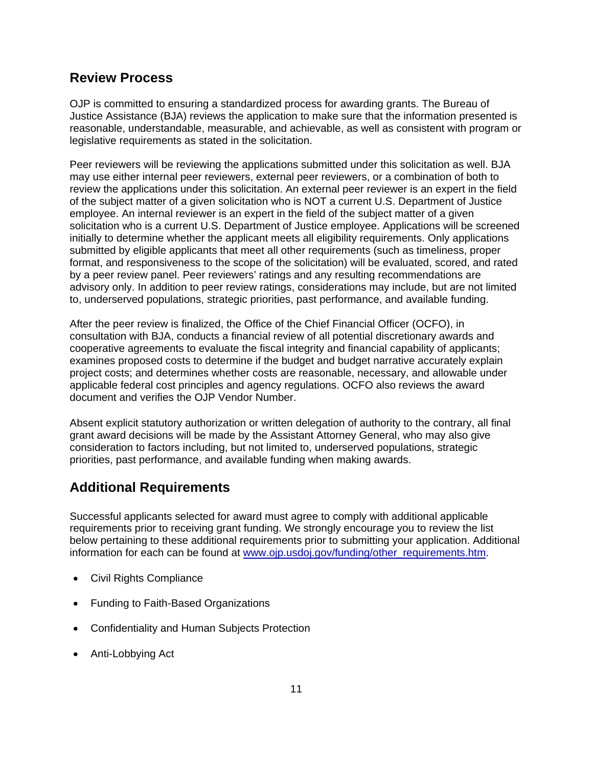### **Review Process**

OJP is committed to ensuring a standardized process for awarding grants. The Bureau of Justice Assistance (BJA) reviews the application to make sure that the information presented is reasonable, understandable, measurable, and achievable, as well as consistent with program or legislative requirements as stated in the solicitation.

Peer reviewers will be reviewing the applications submitted under this solicitation as well. BJA may use either internal peer reviewers, external peer reviewers, or a combination of both to review the applications under this solicitation. An external peer reviewer is an expert in the field of the subject matter of a given solicitation who is NOT a current U.S. Department of Justice employee. An internal reviewer is an expert in the field of the subject matter of a given solicitation who is a current U.S. Department of Justice employee. Applications will be screened initially to determine whether the applicant meets all eligibility requirements. Only applications submitted by eligible applicants that meet all other requirements (such as timeliness, proper format, and responsiveness to the scope of the solicitation) will be evaluated, scored, and rated by a peer review panel. Peer reviewers' ratings and any resulting recommendations are advisory only. In addition to peer review ratings, considerations may include, but are not limited to, underserved populations, strategic priorities, past performance, and available funding.

After the peer review is finalized, the Office of the Chief Financial Officer (OCFO), in consultation with BJA, conducts a financial review of all potential discretionary awards and cooperative agreements to evaluate the fiscal integrity and financial capability of applicants; examines proposed costs to determine if the budget and budget narrative accurately explain project costs; and determines whether costs are reasonable, necessary, and allowable under applicable federal cost principles and agency regulations. OCFO also reviews the award document and verifies the OJP Vendor Number.

Absent explicit statutory authorization or written delegation of authority to the contrary, all final grant award decisions will be made by the Assistant Attorney General, who may also give consideration to factors including, but not limited to, underserved populations, strategic priorities, past performance, and available funding when making awards.

### **Additional Requirements**

Successful applicants selected for award must agree to comply with additional applicable requirements prior to receiving grant funding. We strongly encourage you to review the list below pertaining to these additional requirements prior to submitting your application. Additional information for each can be found at [www.ojp.usdoj.gov/funding/other\\_requirements.htm.](http://www.ojp.usdoj.gov/funding/other_requirements.htm)

- Civil Rights Compliance
- Funding to Faith-Based Organizations
- Confidentiality and Human Subjects Protection
- Anti-Lobbying Act